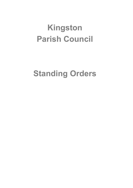# **Kingston Parish Council**

# **Standing Orders**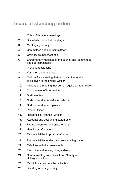# **Index of standing orders**

- **1.** Rules of debate at meetings
- **2.** Disorderly conduct at meetings
- **3.** Meetings generally
- **4.** Committees and sub-committees
- **5.** Ordinary council meetings
- **6.** Extraordinary meetings of the council and committees and sub-committees
- **7.** Previous resolutions
- **8.** Voting on appointments
- **9.** Motions for a meeting that require written notice to be given to the Proper Officer
- **10.** Motions at a meeting that do not require written notice
- **11.** Management of Information
- **12.** Draft minutes
- **13.** Code of conduct and dispensations
- **14.** Code of conduct complaints
- **15.** Proper Officer
- **16.** Responsible Financial Officer
- **17.** Accounts and accounting statements
- **18.** Financial controls and procurement
- **19.** Handling staff matters
- **20.** Responsibilities to provide information
- **21.** Responsibilities under data protection legislation
- **22.** Relations with the press/media
- **23.** Execution and sealing of legal deeds
- **24.** Communicating with District and County or Unitary councillors
- **25.** Restrictions on councillor activities
- **26.** Standing orders generally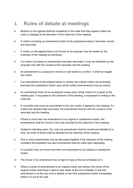## **1. Rules of debate at meetings**

- a Motions on the agenda shall be considered in the order that they appear unless the order is changed at the discretion of the chairman of the meeting.
- b A motion (including an amendment) shall not be progressed unless it has been moved and seconded.
- c A motion on the agenda that is not moved by its proposer may be treated by the chairman of the meeting as withdrawn.
- d If a motion (including an amendment) has been seconded, it may be withdrawn by the proposer only with the consent of the seconder and the meeting.
- e An amendment is a proposal to remove or add words to a motion. It shall not negate the motion.
- f If an amendment to the original motion is carried, the original motion (as amended) becomes the substantive motion upon which further amendment(s) may be moved.
- g An amendment shall not be considered unless early verbal notice of it is given at the meeting and, if requested by the chairman of the meeting, is expressed in writing to the chairman.
- h A councillor may move an amendment to his own motion if agreed by the meeting. If a motion has already been seconded, the amendment shall be with the consent of the seconder and the meeting.
- i If there is more than one amendment to an original or substantive motion, the amendments shall be moved in the order directed by the chairman of the meeting.
- j Subject to standing order 1(k), only one amendment shall be moved and debated at a time, the order of which shall be directed by the chairman of the meeting.
- k One or more amendments may be discussed together if the chairman of the meeting considers this expedient but each amendment shall be voted upon separately.
- l A councillor may not move more than one amendment to an original or substantive motion.
- m The mover of an amendment has no right of reply at the end of debate on it.
- n Where a series of amendments to an original motion are carried, the mover of the original motion shall have a right of reply either at the end of debate on the first amendment or at the very end of debate on the final substantive motion immediately before it is put to the vote.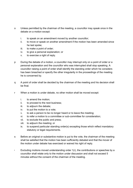- o Unless permitted by the chairman of the meeting, a councillor may speak once in the debate on a motion except:
	- i. to speak on an amendment moved by another councillor;
	- ii. to move or speak on another amendment if the motion has been amended since he last spoke;
	- iii. to make a point of order;
	- iv. to give a personal explanation; or
	- v. to exercise a right of reply.
- p During the debate of a motion, a councillor may interrupt only on a point of order or a personal explanation and the councillor who was interrupted shall stop speaking. A councillor raising a point of order shall identify the standing order which he considers has been breached or specify the other irregularity in the proceedings of the meeting he is concerned by.
- q A point of order shall be decided by the chairman of the meeting and his decision shall be final.
- r When a motion is under debate, no other motion shall be moved except:
	- i. to amend the motion;
	- ii. to proceed to the next business;
	- iii. to adjourn the debate;
	- iv. to put the motion to a vote;
	- v. to ask a person to be no longer heard or to leave the meeting;
	- vi. to refer a motion to a committee or sub-committee for consideration;
	- vii. to exclude the public and press;
	- viii. to adjourn the meeting; or
	- ix. to suspend particular standing order(s) excepting those which reflect mandatory statutory or legal requirements.
- s Before an original or substantive motion is put to the vote, the chairman of the meeting shall be satisfied that the motion has been sufficiently debated and that the mover of the motion under debate has exercised or waived his right of reply.
- t Excluding motions moved understanding order  $1(r)$ , the contributions or speeches by a councillor shall relate only to the motion under discussion and shall not exceed 5 minutes without the consent of the chairman of the meeting.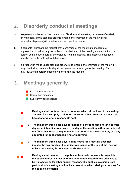# **2. Disorderly conduct at meetings**

- a No person shall obstruct the transaction of business at a meeting or behave offensively or improperly. If this standing order is ignored, the chairman of the meeting shall request such person(s) to moderate or improve their conduct.
- b If person(s) disregard the request of the chairman of the meeting to moderate or improve their conduct, any councillor or the chairman of the meeting may move that the person be no longer heard or be excluded from the meeting. The motion, if seconded, shall be put to the vote without discussion.
- c If a resolution made under standing order 2(b) is ignored, the chairman of the meeting may take further reasonable steps to restore order or to progress the meeting. This may include temporarily suspending or closing the meeting.

### **3. Meetings generally**

- **Full Council meetings**
- **Committee meetings**

 $\overline{\phantom{a}}$ 

 $\overline{\phantom{a}}$ 

 $\mathcal{L}_{\mathcal{A}}$ 

- Sub-committee meetings
- a **Meetings shall not take place in premises which at the time of the meeting are used for the supply of alcohol, unless no other premises are available free of charge or at a reasonable cost.**
- b **The minimum three clear days for notice of a meeting does not include the day on which notice was issued, the day of the meeting, a Sunday, a day of the Christmas break, a day of the Easter break or of a bank holiday or a day appointed for public thanksgiving or mourning.**
	- c **The minimum three clear days' public notice for a meeting does not include the day on which the notice was issued or the day of the meeting unless the meeting is convened at shorter notice.**
- $\mathcal{L}_{\text{max}}$ d **Meetings shall be open to the public unless their presence is prejudicial to the public interest by reason of the confidential nature of the business to be transacted or for other special reasons. The public's exclusion from part or all of a meeting shall be by a resolution which shall give reasons for the public's exclusion.**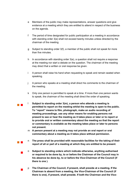- e Members of the public may make representations, answer questions and give evidence at a meeting which they are entitled to attend in respect of the business on the agenda.
- f The period of time designated for public participation at a meeting in accordance with standing order 3(e) shall not exceed twenty minutes unless directed by the chairman of the meeting.
- g Subject to standing order 3(f), a member of the public shall not speak for more than five minutes.
- h In accordance with standing order  $3(e)$ , a question shall not require a response at the meeting nor start a debate on the question. The chairman of the meeting may direct that a written or oral response be given.
- i A person shall raise his hand when requesting to speak and remain seated when speaking.
- j A person who speaks at a meeting shall direct his comments to the chairman of the meeting.
- k Only one person is permitted to speak at a time. If more than one person wants to speak, the chairman of the meeting shall direct the order of speaking.
- l **Subject to standing order 3(m), a person who attends a meeting is permitted to report on the meeting whilst the meeting is open to the public. To "report" means to film, photograph, make an audio recording of meeting proceedings, use any other means for enabling persons not present to see or hear the meeting as it takes place or later or to report or to provide oral or written commentary about the meeting so that the report or commentary is available as the meeting takes place or later to persons not present.** 
	- m **A person present at a meeting may not provide an oral report or oral commentary about a meeting as it takes place without permission.**

 $\mathcal{L}_{\text{max}}$ 

 $\mathcal{L}_{\mathcal{A}}$ 

 $\overline{\phantom{a}}$ 

- n **The press shall be provided with reasonable facilities for the taking of their report of all or part of a meeting at which they are entitled to be present**.
- o **Subject to standing orders which indicate otherwise, anything authorised or required to be done by, to or before the Chairman of the Council may in his absence be done by, to or before the Vice-Chairman of the Council (if there is one ).**
- p **The Chairman of the Council, if present, shall preside at a meeting. If the Chairman is absent from a meeting, the Vice-Chairman of the Council (if there is one), if present, shall preside. If both the Chairman and the Vice-**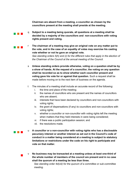**Chairman are absent from a meeting, a councillor as chosen by the councillors present at the meeting shall preside at the meeting.**

- q **Subject to a meeting being quorate, all questions at a meeting shall be decided by a majority of the councillors and non-councillors with voting rights present and voting.**
	- r **The chairman of a meeting may give an original vote on any matter put to the vote, and in the case of an equality of votes may exercise his casting vote whether or not he gave an original vote.** *See standing orders 5(h) and (i) for the different rules that apply in the election of the Chairman of the Council at the annual meeting of the Council.*
	- s **Unless standing orders provide otherwise, voting on a question shall be by a show of hands. At the request of a councillor, the voting on any question shall be recorded so as to show whether each councillor present and voting gave his vote for or against that question.** Such a request shall be made before moving on to the next item of business on the agenda.
- t The minutes of a meeting shall include an accurate record of the following:
	- i. the time and place of the meeting;
	- ii. the names of councillors who are present and the names of councillors who are absent;
	- iii. interests that have been declared by councillors and non-councillors with voting rights;
	- iv. the grant of dispensations (if any) to councillors and non-councillors with voting rights;
	- v. whether a councillor or non-councillor with voting rights left the meeting when matters that they held interests in were being considered;
	- vi. if there was a public participation session; and
	- vii. the resolutions made.
- u **A councillor or a non-councillor with voting rights who has a disclosable pecuniary interest or another interest as set out in the Council's code of conduct in a matter being considered at a meeting is subject to statutory limitations or restrictions under the code on his right to participate and vote on that matter.**
- $\overline{\phantom{a}}$

a na m

**Contract Contract** 

a kacamatan

No business may be transacted at a meeting unless at least one-third of **the whole number of members of the council are present and in no case shall the quorum of a meeting be less than three.**

*See standing order 4d(viii) for the quorum of a committee or sub-committee meeting.*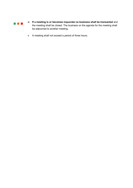

- w **If a meeting is or becomes inquorate no business shall be transacted** and the meeting shall be closed. The business on the agenda for the meeting shall be adjourned to another meeting.
- x A meeting shall not exceed a period of three hours.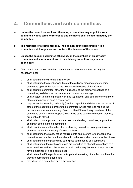### **4. Committees and sub-committees**

- a **Unless the council determines otherwise, a committee may appoint a subcommittee whose terms of reference and members shall be determined by the committee.**
- b **The members of a committee may include non-councillors unless it is a committee which regulates and controls the finances of the council.**
- c **Unless the council determines otherwise, all the members of an advisory committee and a sub-committee of the advisory committee may be noncouncillors.**
- d The council may appoint standing committees or other committees as may be necessary, and:
	- i. shall determine their terms of reference;
	- ii. shall determine the number and time of the ordinary meetings of a standing committee up until the date of the next annual meeting of the Council;
	- iii. shall permit a committee, other than in respect of the ordinary meetings of a committee, to determine the number and time of its meetings;
	- iv. shall, subject to standing orders 4(b) and (c), appoint and determine the terms of office of members of such a committee;
	- v. may, subject to standing orders 4(b) and (c), appoint and determine the terms of office of the substitute members to a committee whose role is to replace the ordinary members at a meeting of a committee if the ordinary members of the committee confirm to the Proper Officer three days before the meeting that they are unable to attend;
	- vi. shall, after it has appointed the members of a standing committee, appoint the chairman of the standing committee;
	- vii. shall permit a committee other than a standing committee, to appoint its own chairman at the first meeting of the committee;
	- viii. shall determine the place, notice requirements and quorum for a meeting of a committee and a sub-committee which, in both cases, shall be no less than three;
	- ix. shall determine if the public may participate at a meeting of a committee;
	- x. shall determine if the public and press are permitted to attend the meetings of a sub-committee and also the advance public notice requirements, if any, required for the meetings of a sub-committee;
	- xi. shall determine if the public may participate at a meeting of a sub-committee that they are permitted to attend; and
	- xii. may dissolve a committee or a subcommittee.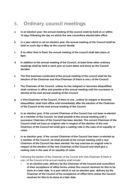# **5. Ordinary council meetings**

- **a In an election year, the annual meeting of the council shall be held on or within 14 days following the day on which the new councillors elected take office.**
- **b In a year which is not an election year, the annual meeting of the Council shall be held on such day in May as the council decide.**
- **c If no other time is fixed, the annual meeting of the council shall take place at 6pm.**
- **d In addition to the annual meeting of the Council, at least three other ordinary meetings shall be held in each year on such dates and times as the Council decides**
- **e The first business conducted at the annual meeting of the council shall be the election of the Chairman and Vice-Chairman (if there is one ) of the Council.**
- **f The Chairman of the Council, unless he has resigned or becomes disqualified, shall continue in office and preside at the annual meeting until his successor is elected at the next annual meeting of the Council.**
- **g e Vice-Chairman of the Council, if there is one , unless he resigns or becomes disqualified, shall hold office until immediately after the election of the Chairman of the Council at the next annual meeting of the Council.**
- **h In an election year, if the current Chairman of the Council has not been re-elected as a member of the Council, he shall preside at the annual meeting until a successor Chairman of the Council has been elected. The current Chairman of the Council shall not have an original vote in respect of the election of the new Chairman of the Council but shall give a casting vote in the case of an equality of votes.**
- **i In an election year, if the current Chairman of the Council has been re-elected as a member of the Council, he shall preside at the annual meeting until a new Chairman of the Council has been elected. He may exercise an original vote in respect of the election of the new Chairman of the Council and shall give a casting vote in the case of an equality of votes.**
- j Following the election of the Chairman of the Council and Vice-Chairman (if there is one ) of the Council at the annual meeting shall include:
	- i. **In an election year, delivery by the Chairman of the Council and councillors of their acceptance of office forms unless the council resolves for this to be done at a later date**. **In a year which is not an election year, delivery by the Chairman of the Council of his acceptance of office form unless the Council resolves for this to be done at a later date;**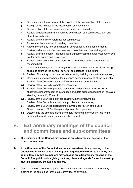- ii. Confirmation of the accuracy of the minutes of the last meeting of the council;
- iii. Receipt of the minutes of the last meeting of a committee;
- iv. Consideration of the recommendations made by a committee;
- v. Review of delegation arrangements to committees, sub-committees, staff and other local authorities;
- vi. Review of the terms of reference for committees;
- vii. Appointment of members to existing committees;
- viii. Appointment of any new committees in accordance with standing order 4;
- ix. Review and adoption of appropriate standing orders and financial regulations;
- x. Review of arrangements, (including legal agreements) with other local authorities, not-for-profit bodies and businesses.
- xi. Review of representation on or work with external bodies and arrangements for reporting back;
- xii. In an election year, to make arrangements with a view to the Council becoming eligible to exercise the general power of competence in the future;
- xiii. Review of inventory of land and assets including buildings and office equipment;
- xiv. Confirmation of arrangements for insurance cover in respect of all insured risks;
- xv. Review of the Council's and/or staff subscriptions to other bodies;
- xvi. Review of the Council's complaints procedure;
- xvii. Review of the Council's policies, procedures and practices in respect of its obligations under freedom of information and data protection legislation (see also standing orders 11, 20 and 21);;
- xviii. Review of the Council's policy for dealing with the press/media;
- xix. Review of the Council's employment policies and procedures;
- xx. Review of the Council's expenditure incurred under s.137 of the Local Government Act 1972 or the general power of competence;
- xxi. Determining the time and place of ordinary meetings of the Council up to and including the next annual meeting of the Council.

### **6. Extraordinary meetings of the council and committees and sub-committees**

- **a The Chairman of the Council may convene an extraordinary meeting of the council at any time.**
- b **If the Chairman of the Council does not call an extraordinary meeting of the Council within seven days of having been requested in writing to do so by two councillors, any two councillors may convene an extraordinary meeting of the Council. The public notice giving the time, place and agenda for such a meeting must be signed by the two councillors.**
- c The chairman of a committee [or a sub-committee] may convene an extraordinary meeting of the committee [or the sub-committee] at any time.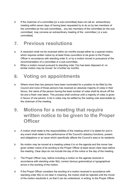d If the chairman of a committee [or a sub-committee] does not call an extraordinary meeting within seven days of having been requested by to do so by two members of the committee [or the sub-committee], , any two members of the committee [or the subcommittee] may convene an extraordinary meeting of the committee [ or a subcommittee].

# **7. Previous resolutions**

- a A resolution shall not be reversed within six months except either by a special motion, which requires written notice by at least three councillors to be given to the Proper Officer in accordance with standing order 9, or by a motion moved in pursuance of the recommendation of a committee or a sub-committee.
- b When a motion moved pursuant to standing order 7(a) has been disposed of, no similar motion may be moved for a further six months.

## **8. Voting on appointments**

- a Where more than two persons have been nominated for a position to be filled by the Council and none of those persons has received an absolute majority of votes in their favour, the name of the person having the least number of votes shall be struck off the list and a fresh vote taken. This process shall continue until a majority of votes is given in favour of one person. A tie in votes may be settled by the casting vote exercisable by the chairman of the meeting.
- **9. Motions for a meeting that require written notice to be given to the Proper Officer**
- a A motion shall relate to the responsibilities of the meeting which it is tabled for and in any event shall relate to the performance of the Council's statutory functions, powers and obligations or an issue which specifically affects the Council's area or its residents.
- b No motion may be moved at a meeting unless it is on the agenda and the mover has given written notice of its wording to the Proper Officer at least seven clear days before the meeting. Clear days do not include the day of the notice or the day of the meeting.
- c The Proper Officer may, before including a motion on the agenda received in accordance with standing order 9(b), correct obvious grammatical or typographical errors in the wording of the motion.
- d If the Proper Officer considers the wording of a motion received in accordance with standing order 9(b) is not clear in meaning, the motion shall be rejected until the mover of the motion resubmits it, so that it can be understood, in writing, to the Proper Officer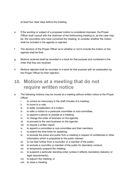at least four clear days before the meeting.

- e If the wording or subject of a proposed motion is considered improper, the Proper Officer shall consult with the chairman of the forthcoming meeting or, as the case may be, the councillors who have convened the meeting, to consider whether the motion shall be included in the agenda or rejected.
- f The decision of the Proper Officer as to whether or not to include the motion on the agenda shall be final. .
- g Motions received shall be recorded in a book for that purpose and numbered in the order that they are received.
- h Motions rejected shall be recorded in a book for that purpose with an explanation by the Proper Officer for their rejection.

### **10. Motions at a meeting that do not require written notice**

- a The following motions may be moved at a meeting without written notice to the Proper Officer;
	- i. to correct an inaccuracy in the draft minutes of a meeting;
	- ii. to move to a vote;
	- iii. to defer consideration of a motion;
	- iv. to refer a motion to a particular committee or sub-committee;
	- v. to appoint a person to preside at a meeting;
	- vi. to change the order of business on the agenda;
	- vii. to proceed to the next business on the agenda;
	- viii. to require a written report;
	- ix. to appoint a committee or sub-committee and their members;
	- x. to extend the time limits for speaking;
	- xi. to exclude the press and public from a meeting in respect of confidential or other information which is prejudicial to the public interest;
	- xii. to not hear further from a councillor or a member of the public;
	- xiii. to exclude a councillor or member of the public for disorderly conduct;
	- xiv. to temporarily suspend the meeting;
	- xv. to suspend a particular standing order (unless it reflects mandatory statutory or legal requirements);
	- xvi. to adjourn the meeting; or
	- xvii. to close a meeting.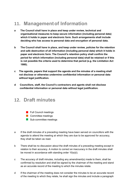# **11. Managementof Information**

- **a The Council shall have in place and keep under review, technical and organisational measures to keep secure information (including personal data) which it holds in paper and electronic form. Such arrangements shall include deciding who has access to personal data and encryption of personal data.**
- **b The Council shall have in place, and keep under review, policies for the retention and safe destruction of all information (including personal data) which it holds in paper and electronic form. The Council's retention policy shall confirm the period for which information (including personal data) shall be retained or if this is not possible the criteria used to determine that period (e.g. the Limitation Act 1980).**
- **c The agenda, papers that support the agenda and the minutes of a meeting shall not disclose or otherwise undermine confidential information or personal data without legal justification.**
- **d Councillors, staff, the Council's contractors and agents shall not disclose confidential information or personal data without legal justification.**

### **12. Draft minutes**

- **Full Council meetings**
- **Committee meetings**
- Sub-committee meetings
- a If the draft minutes of a preceding meeting have been served on councillors with the agenda to attend the meeting at which they are due to be approved for accuracy, they shall be taken as read.
- b There shall be no discussion about the draft minutes of a preceding meeting except in relation to their accuracy. A motion to correct an inaccuracy in the draft minutes shall be moved in accordance with standing order 10(a)(i).
- c The accuracy of draft minutes, including any amendment(s) made to them, shall be confirmed by resolution and shall be signed by the chairman of the meeting and stand as an accurate record of the meeting to which the minutes relate.
- d If the chairman of the meeting does not consider the minutes to be an accurate record of the meeting to which they relate, he shall sign the minutes and include a paragraph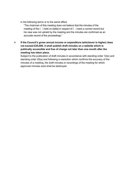in the following terms or to the same effect:

"The chairman of this meeting does not believe that the minutes of the meeting of the () held on [date] in respect of () were a correct record but his view was not upheld by the meeting and the minutes are confirmed as an accurate record of the proceedings."

e **If the Council's gross annual income or expenditure (whichever is higher) does not exceed £25,000, it shall publish draft minutes on a website which is publically accessible and free of charge not later than one month after the meeting has taken place.** 

Subject to the publication of draft minutes in accordance with standing order 12(e) and standing order 20(a) and following a resolution which confirms the accuracy of the minutes of a meeting, the draft minutes or recordings of the meeting for which approved minutes exist shall be destroyed.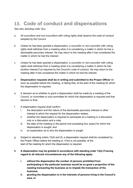# **13. Code of conduct and dispensations**

#### *See also standing order 3(u).*

- a All councillors and non-councillors with voting rights shall observe the code of conduct adopted by the Council.
- b Unless he has been granted a dispensation, a councillor or non-councillor with voting rights shall withdraw from a meeting when it is considering a matter in which he has a disclosable pecuniary interest. He may return to the meeting after it has considered the matter in which he had the interest.
- c Unless he has been granted a dispensation, a councillor or non-councillor with voting rights shall withdraw from a meeting when it is considering a matter in which he has another interest if so required by the Council's code of conduct. He may return to the meeting after it has considered the matter in which he had the interest.
- d **Dispensation requests shall be in writing and submitted to the Proper Officer** as soon as possible before the meeting, or failing that, at the start of the meeting for which the dispensation is required.
- e A decision as to whether to grant a dispensation shall be made by a meeting of the Council, or committee or sub-committee for which the dispensation is required and that decision is final.
- f A dispensation request shall confirm:
	- i. the description and the nature of the disclosable pecuniary interest or other interest to which the request for the dispensation relates;
	- ii. whether the dispensation is required to participate at a meeting in a discussion only or a discussion and a vote;
	- iii. the date of the meeting or the period (not exceeding four years) for which the dispensation is sought; and
	- iv. an explanation as to why the dispensation is sought.
- g Subject to standing orders 13(d) and (f), a dispensation request shall be considered by the Proper Officer before the meeting or, if this is not possible, at the start of the meeting for which the dispensation is required

#### **h A dispensation may be granted in accordance with standing order 13(e) if having regard to all relevant circumstances any of the following apply:**

- **i. without the dispensation the number of persons prohibited from participating in the particular business would be so great a proportion of the meeting transacting the business as to impede the transaction of the business;**
- **ii. granting the dispensation is in the interests of persons living in the Council's area; or**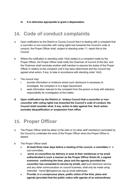#### **iii. It is otherwise appropriate to grant a dispensation.**

# **14. Code of conduct complaints**

- a Upon notification by the District or County Council that it is dealing with a complaint that a councillor or non-councillor with voting rights has breached the Council's code of conduct, the Proper Officer shall, subject to standing order 11, report this to the Council.
- b Where the notification in standing order 14(a) relates to a complaint made by the Proper Officer, the Proper Officer shall notify the Chairman of Council of this fact, and the Chairman shall nominate another staff member to assume the duties of the Proper Officer in relation to the complaint until it has been determined and the Council has agreed what action, if any, to take in accordance with standing order 14(d).
- c The council may:
	- i. provide information or evidence where such disclosure is necessary to investigate the complaint or is a legal requirement.
	- ii. seek information relevant to the complaint from the person or body with statutory responsibility for investigation of the matter;
- **d Upon notification by the District or Unitary Council that a councillor or noncouncillor with voting rights has breached the Council's code of conduct, the Council shall consider what, if any, action to take against him. Such action excludes disqualification or suspension from office.**

### **15. Proper Officer**

- a The Proper Officer shall be either (i) the clerk or (ii) other staff member(s) nominated by the Council to undertake the work of the Proper Officer when the Proper Officer is absent.
- b The Proper Officer shall:
	- **At least three clear days before a meeting of the council, a committee** or a sub-committee,
	- **serve on councillors by delivery or post at their residences or by email authenticated in such a manner as the Proper Officer thinks fit, a signed summons confirming the time, place and the agenda (provided the councillor has consented to service by email), and** such electronic service and any other communication on council business, shall only be made using restricted ["name"@kingston](mailto:)-pc.org.uk email addresses
	- **Provide, in a conspicuous place, public notice of the time, place and agenda (provided that the public notice with agenda of an extraordinary**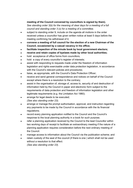#### **meeting of the Council convened by councillors is signed by them).**

*See standing order 3(b) for the meaning of clear days for a meeting of a full council and standing order 3 (c) for a meeting of a committee.*

- subject to standing order 9, include on the agenda all motions in the order received unless a councillor has given written notice at least 5 days before the meeting confirming his withdrawal of it;
- **convene a meeting of full council for the election of a new Chairman of the Council, occasioned by a casual vacancy in his office;**
- **facilitate inspection of the minute book by local government electors;**
- **receive and retain copies of byelaws made by other local authorities;**
- hold acceptance of office forms from councillors;
- hold a copy of every councillor's register of interests;
- assist with responding to requests made under the freedom of information legislation and rights exercisable under data protection legislation, in accordance with the Council's relevant policies and procedures:
- liaise, as appropriate, with the Council's Data Protection Officer;
- receive and send general correspondence and notices on behalf of the Council except where there is a resolution to the contrary;
- assist in the organisation of, storage of, access to, security of and destruction of information held by the Council in paper and electronic form subject to the requirements of data protection and freedom of information legislation and other legitimate requirements (e.g. the Limitation Act 1980);
- arrange for legal deeds to be executed; *(See also standing order 23);*
- arrange or manage the prompt authorisation, approval, and instruction regarding any payments to be made by the Council in accordance with the its financial regulations;
- record every planning application notified to the Council and the Council's response to the local planning authority in a book for such purpose;
- refer a planning application received by the Council to the lead Councillor within two working days of receipt to facilitate an extraordinary meeting if the nature of a planning application requires consideration before the next ordinary meeting of the Council.
- manage access to information about the Council via the publication scheme; and
- retain custody of the seal of the council (if there is one ) which shall not be used without a resolution to that effect.

*(See also standing order 23).*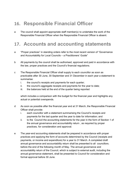# **16. Responsible Financial Officer**

a The council shall appoint appropriate staff member(s) to undertake the work of the Responsible Financial Officer when the Responsible Financial Officer is absent.

# **17. Accounts and accounting statements**

- a "Proper practices" in standing orders refer to the most recent version of "Governance and Accountability for Local Councils – a Practitioners' Guide"
- b All payments by the council shall be authorised, approved and paid in accordance with the law, proper practices and the Council's financial regulations.
- c The Responsible Financial Officer shall supply to each councillor as soon as practicable after 30 June, 30 September and 31 December in each year a statement to summarise:
	- i. the council's receipts and payments for each quarter;
	- ii. the council's aggregate receipts and payments for the year to date;
	- iii. the balances held at the end of the quarter being reported

which includes a comparison with the budget for the financial year and highlights any actual or potential overspends.

- d As soon as possible after the financial year end at 31 March, the Responsible Financial Officer shall provide:
	- i. each councillor with a statement summarising the Council's receipts and payments for the last quarter and the year to date for information; and
	- ii. to the Council the accounting statements for the year in the form of Section 1 of the annual governance and accountability return , as required by proper practices, for consideration and approval.
- e The year-end accounting statements shall be prepared in accordance with proper practices and applying the form of accounts determined by the Council (receipts and payments, or income and expenditure) for a year to 31 March. A completed draft annual governance and accountability return shall be presented to all councillors. before the end of the following month of May. The annual governance and accountability return of the Council, which is subject to external audit, including the annual governance statement, shall be presented to Council for consideration and formal approval before 30 June.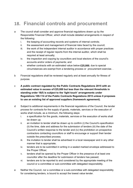# **18. Financial controls and procurement**

- a The council shall consider and approve financial regulations drawn up by the Responsible Financial Officer, which shall include detailed arrangements in respect of the following:
	- i. the keeping of accounting records and systems of internal controls;
	- ii. the assessment and management of financial risks faced by the council;
	- iii. the work of the independent internal auditor in accordance with proper practices and the receipt of regular reports from the internal auditor, which shall be required at least annually;
	- iv. the inspection and copying by councillors and local electors of the council's accounts and/or orders of payments; and
	- v. whether contracts with an estimated value below **£25,000**, due to special circumstances are exempt from a tendering process or procurement exercise. .
- b Financial regulations shall be reviewed regularly and at least annually for fitness of purpose.
- c **A public contract regulated by the Public Contracts Regulations 2015 with an estimated value in excess of £25,000 but less than the relevant thresholds in standing order 18(f) is subject to the 'light touch' arrangements under Regulations 109-114 of the Public Contracts Regulations 2015 unless it proposes to use an existing list of approved suppliers (framework agreement).**
- d Subject to additional requirements in the financial regulations of the Council, the tender process for contracts for the supply of goods, materials, services or the execution of works shall include, as a minimum, the following steps:
	- i. a specification for the goods, materials, services or the execution of works shall be drawn up;
	- ii. an invitation to tender shall be drawn up to confirm (i) the Council's specification (ii) the time, date and address for the submission of tenders (iii) the date of the Council's written response to the tender and (iv) the prohibition on prospective contractors contacting councillors or staff to encourage or support their tender outside the prescribed process;
	- iii. the invitation to tender shall be advertised in a local newspaper and in any other manner that is appropriate;
	- iv. tenders are to be submitted in writing in a sealed marked envelope addressed to the Proper Officer;
	- v. tenders shall be opened by the Proper Officer in the presence of at least one councillor after the deadline for submission of tenders has passed;
	- vi. tenders are to be reported to and considered by the appropriate meeting of the council or a committee or sub-committee with delegated responsibility.
- e Neither the Council, nor a committee or a sub-committee with delegated responsibility for considering tenders, is bound to accept the lowest value tender.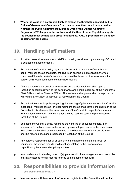f **Where the value of a contract is likely to exceed the threshold specified by the Office of Government Commerce from time to time, the council must consider whether the Public Contracts Regulations 2015 or the Utilities Contracts Regulations 2016 apply to the contract and, if either of those Regulations apply, the council must comply with procurement rules. NALC's procurement guidance contains further details.**

# **19. Handling staff matters**

- a A matter personal to a member of staff that is being considered by a meeting of Council is subject to standing order 11.
- b Subject to the Council's policy regarding absences from work, the Council's most senior member of staff shall notify the chairman or, if he is not available, the vicechairman (if there is one) of absence occasioned by illness or other reason and that person shall report such absence at its next meeting.
- c The chairman of the Council or in his absence, the vice-chairman shall upon a resolution conduct a review of the performance and annual appraisal of the work of the Clerk & Responsible Financial Officer. The reviews and appraisal shall be reported in writing and are subject to approval by resolution by the Council.
- d Subject to the council's policy regarding the handling of grievance matters, the Council's most senior member of staff (or other members of staff shall contact the chairman of the Council or in his absence, the vice-chairman of the Council in respect of an informal or formal grievance matter, and this matter shall be reported back and progressed by resolution of the Council.
- e Subject to the Council's policy regarding the handling of grievance matters, if an informal or formal grievance matter raised by an employee relates to the chairman or vice-chairman this shall be communicated to another member of the Council, which shall be reported back and progressed by resolution of the Council.
- f Any persons responsible for all or part of the management of staff shall treat as confidential the written records of all meetings relating to their performance, capabilities, grievance or disciplinary matters. .
- $g$  In accordance with standing order 11(a), persons with line management responsibilities shall have access to staff records referred to in standing order 19(f)

# **20. Responsibilities to provide information**

*see also standing order 21*

**a In accordance with freedom of information legislation, the Council shall publish**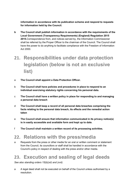**information in accordance with its publication scheme and respond to requests for information held by the Council.**

**b The Council shall publish information in accordance with the requirements of the Local Government (Transparency Requirements) (England) Regulation 2015 2015.**Correspondence from, and notices served by, the Information Commissioner shall be referred by the Proper Officer to the chairman of the Council. The Council shall have the power to do anything to facilitate compliance with the Freedom of Information Act 2000.

# **21. Responsibilities under data protection legislation (below is not an exclusive list)**

- a **The Council shall appoint a Data Protection Officer.**
- b **The Council shall have policies and procedures in place to respond to an individual exercising statutory rights concerning his personal data.**
- c **The Council shall have a written policy in place for responding to and managing a personal data breach**
- d **The Council shall keep a record of all personal data breaches comprising the facts relating to the personal data breach, its effects and the remedial action taken**
- e **The Council shall ensure that information communicated in its privacy notice(s) is in easily accessible and available form and kept up to date.**
- f **The Council shall maintain a written record of its processing activities.**

# **22. Relations with the press/media**

a Requests from the press or other media for an oral or written comment or statement from the Council, its councillors or staff shall be handled in accordance with the Council's policy in respect of dealing with the press and/or other media.

### **23. Execution and sealing of legal deeds**

*See also standing orders 15(b)(xii) and (xvii).*

a A legal deed shall not be executed on behalf of the Council unless authorised by a resolution.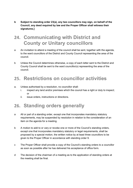**b Subject to standing order 23(a), any two councillors may sign, on behalf of the Council, any deed required by law and the Proper Officer shall witness their signatures.]** 

### **24. Communicating with District and County or Unitary councillors**

- a An invitation to attend a meeting of the council shall be sent, together with the agenda, to the ward councillors of the District and County Council representing the area of the council.
- b Unless the Council determines otherwise, a copy of each letter sent to the District and County Council shall be sent to the ward councillor(s) representing the area of the council.

# **25. Restrictions on councillor activities**

- a. Unless authorised by a resolution, no councillor shall:
	- i. inspect any land and/or premises which the council has a right or duty to inspect; or
	- ii. issue orders, instructions or directions.

# **26. Standing orders generally**

- a All or part of a standing order, except one that incorporates mandatory statutory requirements, may be suspended by resolution in relation to the consideration of an item on the agenda for a meeting.
- b A motion to add to or vary or revoke one or more of the Council's standing orders, except one that incorporates mandatory statutory or legal requirements, shall be proposed by a special motion, the written notice by at least three councillors to be given to the Proper Officer in accordance with standing order 9.
- c The Proper Officer shall provide a copy of the Council's standing orders to a councillor as soon as possible after he has delivered his acceptance of office form.
- d The decision of the chairman of a meeting as to the application of standing orders at the meeting shall be final.